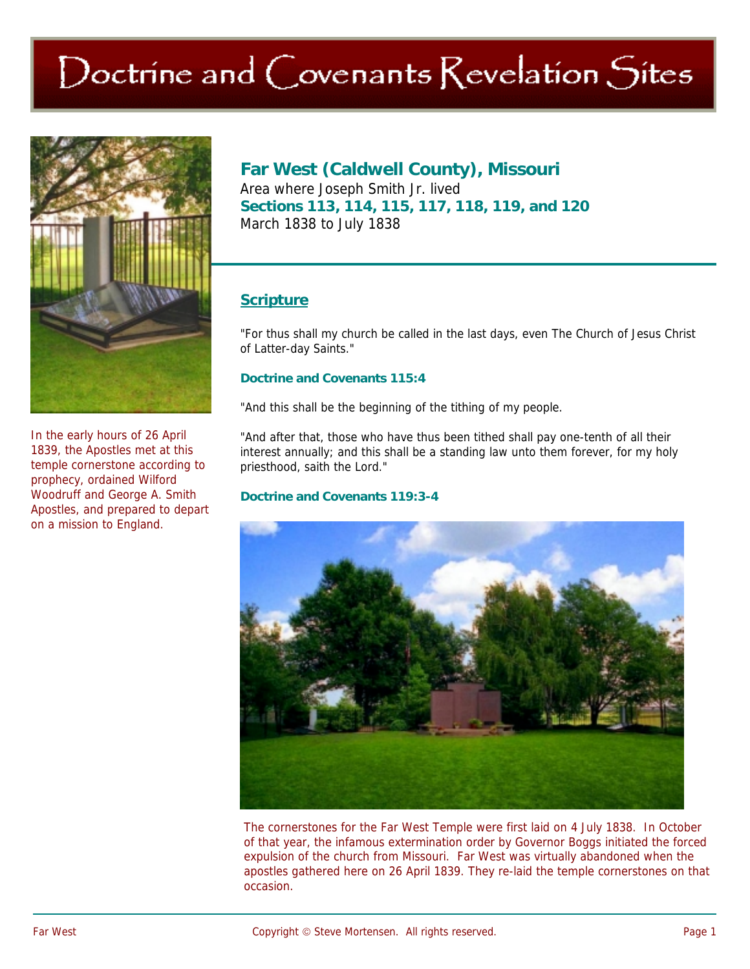# Doctrine and Covenants Revelation Sites



In the early hours of 26 April 1839, the Apostles met at this temple cornerstone according to prophecy, ordained Wilford Woodruff and George A. Smith Apostles, and prepared to depart on a mission to England.

**Far West (Caldwell County), Missouri**  Area where Joseph Smith Jr. lived **Sections 113, 114, 115, 117, 118, 119, and 120**  March 1838 to July 1838

## **Scripture**

"For thus shall my church be called in the last days, even The Church of Jesus Christ of Latter-day Saints."

#### **Doctrine and Covenants 115:4**

"And this shall be the beginning of the tithing of my people.

"And after that, those who have thus been tithed shall pay one-tenth of all their interest annually; and this shall be a standing law unto them forever, for my holy priesthood, saith the Lord."

#### **Doctrine and Covenants 119:3-4**



The cornerstones for the Far West Temple were first laid on 4 July 1838. In October of that year, the infamous extermination order by Governor Boggs initiated the forced expulsion of the church from Missouri. Far West was virtually abandoned when the apostles gathered here on 26 April 1839. They re-laid the temple cornerstones on that occasion.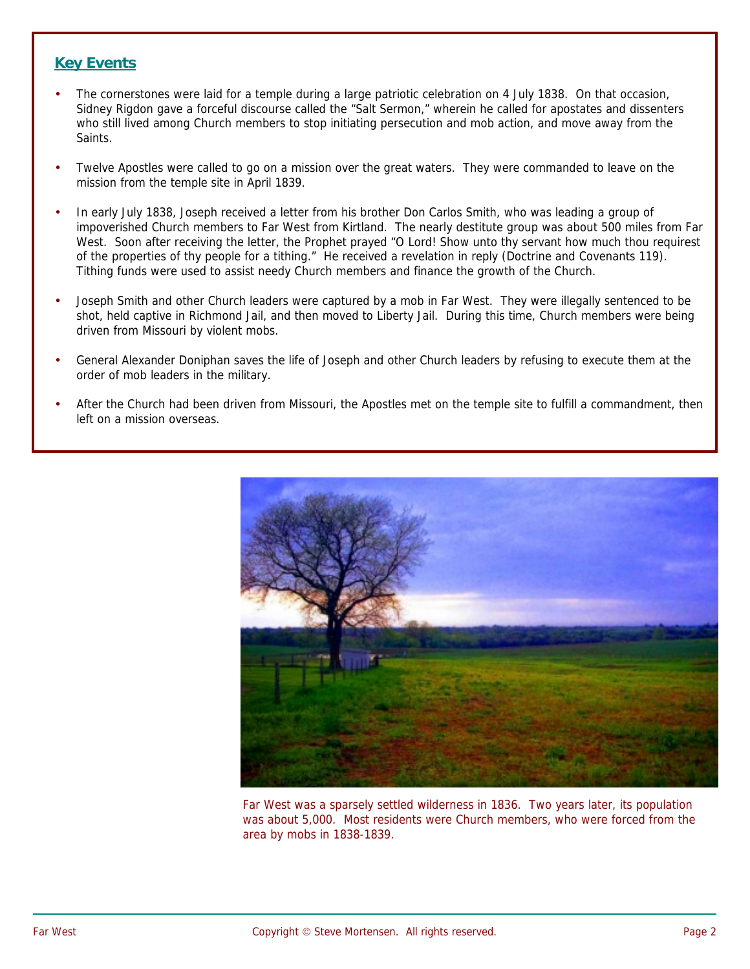### **Key Events**

- The cornerstones were laid for a temple during a large patriotic celebration on 4 July 1838. On that occasion, Sidney Rigdon gave a forceful discourse called the "Salt Sermon," wherein he called for apostates and dissenters who still lived among Church members to stop initiating persecution and mob action, and move away from the Saints.
- Twelve Apostles were called to go on a mission over the great waters. They were commanded to leave on the mission from the temple site in April 1839.
- In early July 1838, Joseph received a letter from his brother Don Carlos Smith, who was leading a group of impoverished Church members to Far West from Kirtland. The nearly destitute group was about 500 miles from Far West. Soon after receiving the letter, the Prophet prayed "O Lord! Show unto thy servant how much thou requirest of the properties of thy people for a tithing." He received a revelation in reply (Doctrine and Covenants 119). Tithing funds were used to assist needy Church members and finance the growth of the Church.
- Joseph Smith and other Church leaders were captured by a mob in Far West. They were illegally sentenced to be shot, held captive in Richmond Jail, and then moved to Liberty Jail. During this time, Church members were being driven from Missouri by violent mobs.
- General Alexander Doniphan saves the life of Joseph and other Church leaders by refusing to execute them at the order of mob leaders in the military.
- After the Church had been driven from Missouri, the Apostles met on the temple site to fulfill a commandment, then left on a mission overseas.



Far West was a sparsely settled wilderness in 1836. Two years later, its population was about 5,000. Most residents were Church members, who were forced from the area by mobs in 1838-1839.